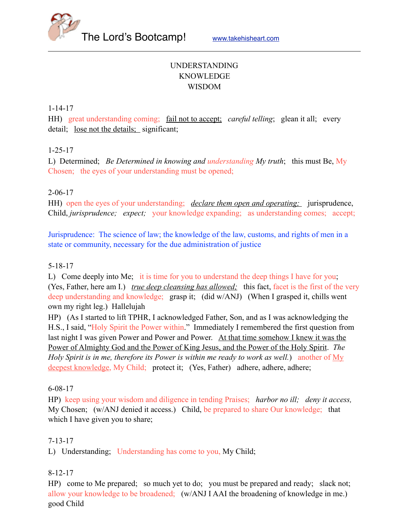

# UNDERSTANDING KNOWLEDGE WISDOM

1-14-17

HH) great understanding coming; fail not to accept; *careful telling*; glean it all; every detail; lose not the details; significant;

# 1-25-17

L) Determined; *Be Determined in knowing and understanding My truth*; this must Be, My Chosen; the eyes of your understanding must be opened;

## 2-06-17

HH) open the eyes of your understanding; *declare them open and operating*; jurisprudence, Child, *jurisprudence; expect;* your knowledge expanding; as understanding comes; accept;

Jurisprudence: The science of law; the knowledge of the law, customs, and rights of men in a state or community, necessary for the due administration of justice

### 5-18-17

L) Come deeply into Me; it is time for you to understand the deep things I have for you; (Yes, Father, here am I.) *true deep cleansing has allowed;* this fact, facet is the first of the very deep understanding and knowledge; grasp it; (did w/ANJ) (When I grasped it, chills went own my right leg.) Hallelujah

HP) (As I started to lift TPHR, I acknowledged Father, Son, and as I was acknowledging the H.S., I said, "Holy Spirit the Power within." Immediately I remembered the first question from last night I was given Power and Power and Power. At that time somehow I knew it was the Power of Almighty God and the Power of King Jesus, and the Power of the Holy Spirit. *The Holy Spirit is in me, therefore its Power is within me ready to work as well.*) another of My deepest knowledge, My Child; protect it; (Yes, Father) adhere, adhere, adhere;

#### 6-08-17

HP) keep using your wisdom and diligence in tending Praises; *harbor no ill; deny it access,* My Chosen; (w/ANJ denied it access.) Child, be prepared to share Our knowledge; that which I have given you to share;

#### 7-13-17

L) Understanding; Understanding has come to you, My Child;

#### 8-12-17

HP) come to Me prepared; so much yet to do; you must be prepared and ready; slack not; allow your knowledge to be broadened; (w/ANJ I AAI the broadening of knowledge in me.) good Child